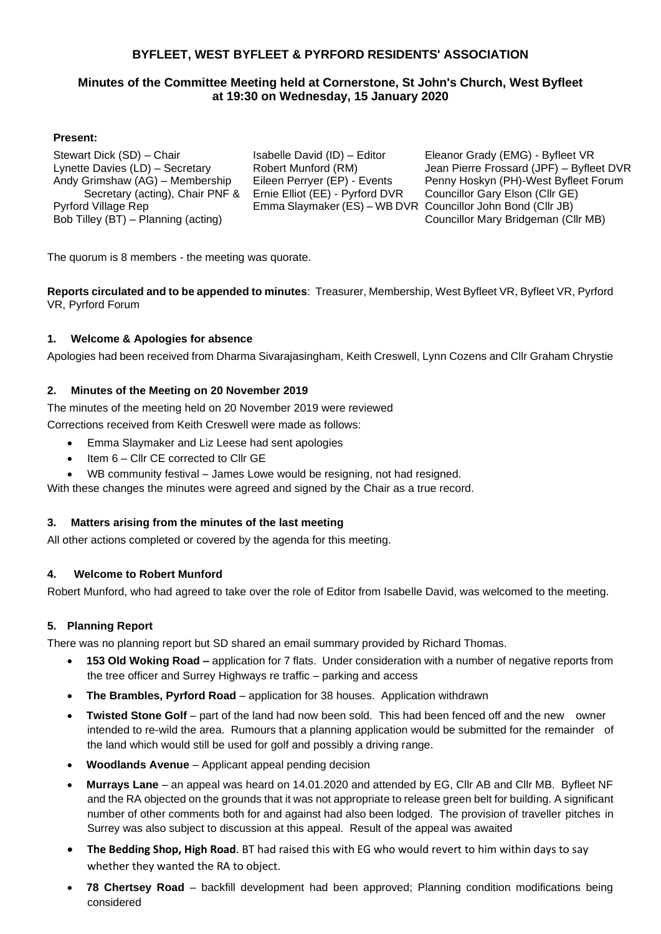### **BYFLEET, WEST BYFLEET & PYRFORD RESIDENTS' ASSOCIATION**

#### **Minutes of the Committee Meeting held at Cornerstone, St John's Church, West Byfleet at 19:30 on Wednesday, 15 January 2020**

#### **Present:**

Stewart Dick (SD) – Chair Lynette Davies (LD) – Secretary Andy Grimshaw (AG) – Membership Secretary (acting), Chair PNF & Pyrford Village Rep Bob Tilley (BT) – Planning (acting)

Isabelle David (ID) – Editor Robert Munford (RM) Eileen Perryer (EP) - Events Ernie Elliot (EE) - Pyrford DVR Emma Slaymaker (ES) – WB DVR Councillor John Bond (Cllr JB)

Eleanor Grady (EMG) - Byfleet VR Jean Pierre Frossard (JPF) – Byfleet DVR Penny Hoskyn (PH)-West Byfleet Forum Councillor Gary Elson (Cllr GE) Councillor Mary Bridgeman (Cllr MB)

The quorum is 8 members - the meeting was quorate.

**Reports circulated and to be appended to minutes**: Treasurer, Membership, West Byfleet VR, Byfleet VR, Pyrford VR, Pyrford Forum

#### **1. Welcome & Apologies for absence**

Apologies had been received from Dharma Sivarajasingham, Keith Creswell, Lynn Cozens and Cllr Graham Chrystie

#### **2. Minutes of the Meeting on 20 November 2019**

The minutes of the meeting held on 20 November 2019 were reviewed

Corrections received from Keith Creswell were made as follows:

- Emma Slaymaker and Liz Leese had sent apologies
- Item 6 Cllr CE corrected to Cllr GE
- WB community festival James Lowe would be resigning, not had resigned.

With these changes the minutes were agreed and signed by the Chair as a true record.

#### **3. Matters arising from the minutes of the last meeting**

All other actions completed or covered by the agenda for this meeting.

#### **4. Welcome to Robert Munford**

Robert Munford, who had agreed to take over the role of Editor from Isabelle David, was welcomed to the meeting.

#### **5. Planning Report**

There was no planning report but SD shared an email summary provided by Richard Thomas.

- **153 Old Woking Road –** application for 7 flats. Under consideration with a number of negative reports from the tree officer and Surrey Highways re traffic – parking and access
- **The Brambles, Pyrford Road** application for 38 houses. Application withdrawn
- **Twisted Stone Golf**  part of the land had now been sold. This had been fenced off and the new owner intended to re-wild the area. Rumours that a planning application would be submitted for the remainder of the land which would still be used for golf and possibly a driving range.
- **Woodlands Avenue**  Applicant appeal pending decision
- **Murrays Lane**  an appeal was heard on 14.01.2020 and attended by EG, Cllr AB and Cllr MB. Byfleet NF and the RA objected on the grounds that it was not appropriate to release green belt for building. A significant number of other comments both for and against had also been lodged. The provision of traveller pitches in Surrey was also subject to discussion at this appeal. Result of the appeal was awaited
- **The Bedding Shop, High Road**. BT had raised this with EG who would revert to him within days to say whether they wanted the RA to object.
- **78 Chertsey Road**  backfill development had been approved; Planning condition modifications being considered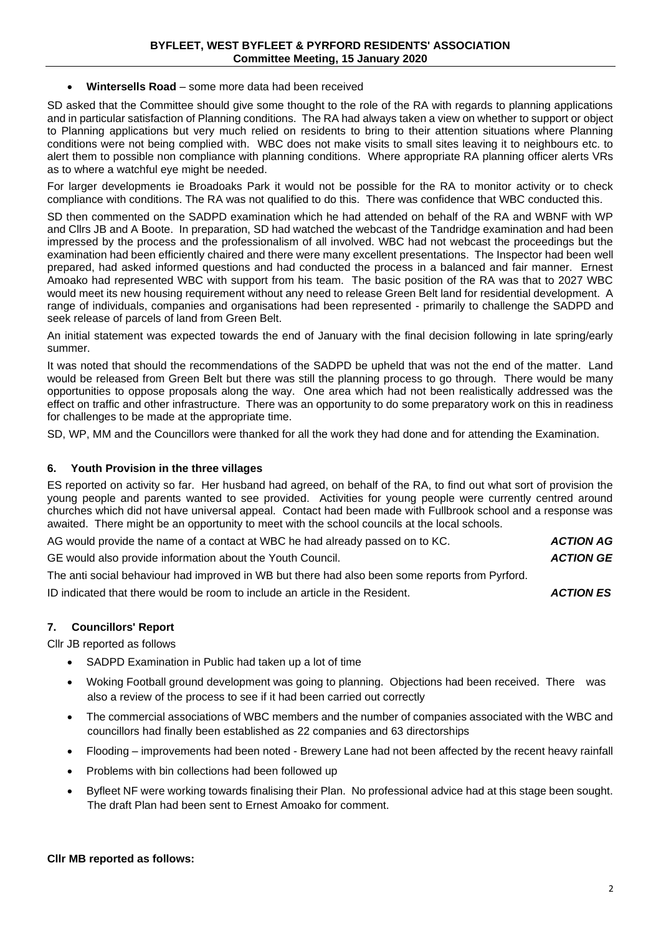#### • **Wintersells Road** – some more data had been received

SD asked that the Committee should give some thought to the role of the RA with regards to planning applications and in particular satisfaction of Planning conditions. The RA had always taken a view on whether to support or object to Planning applications but very much relied on residents to bring to their attention situations where Planning conditions were not being complied with. WBC does not make visits to small sites leaving it to neighbours etc. to alert them to possible non compliance with planning conditions. Where appropriate RA planning officer alerts VRs as to where a watchful eye might be needed.

For larger developments ie Broadoaks Park it would not be possible for the RA to monitor activity or to check compliance with conditions. The RA was not qualified to do this. There was confidence that WBC conducted this.

SD then commented on the SADPD examination which he had attended on behalf of the RA and WBNF with WP and Cllrs JB and A Boote. In preparation, SD had watched the webcast of the Tandridge examination and had been impressed by the process and the professionalism of all involved. WBC had not webcast the proceedings but the examination had been efficiently chaired and there were many excellent presentations. The Inspector had been well prepared, had asked informed questions and had conducted the process in a balanced and fair manner. Ernest Amoako had represented WBC with support from his team. The basic position of the RA was that to 2027 WBC would meet its new housing requirement without any need to release Green Belt land for residential development. A range of individuals, companies and organisations had been represented - primarily to challenge the SADPD and seek release of parcels of land from Green Belt.

An initial statement was expected towards the end of January with the final decision following in late spring/early summer.

It was noted that should the recommendations of the SADPD be upheld that was not the end of the matter. Land would be released from Green Belt but there was still the planning process to go through. There would be many opportunities to oppose proposals along the way. One area which had not been realistically addressed was the effect on traffic and other infrastructure. There was an opportunity to do some preparatory work on this in readiness for challenges to be made at the appropriate time.

SD, WP, MM and the Councillors were thanked for all the work they had done and for attending the Examination.

#### **6. Youth Provision in the three villages**

ES reported on activity so far. Her husband had agreed, on behalf of the RA, to find out what sort of provision the young people and parents wanted to see provided. Activities for young people were currently centred around churches which did not have universal appeal. Contact had been made with Fullbrook school and a response was awaited. There might be an opportunity to meet with the school councils at the local schools.

AG would provide the name of a contact at WBC he had already passed on to KC. *ACTION AG*

GE would also provide information about the Youth Council. *ACTION GE*

The anti social behaviour had improved in WB but there had also been some reports from Pyrford.

ID indicated that there would be room to include an article in the Resident. *ACTION ES*

#### **7. Councillors' Report**

Cllr JB reported as follows

- SADPD Examination in Public had taken up a lot of time
- Woking Football ground development was going to planning. Objections had been received. There was also a review of the process to see if it had been carried out correctly
- The commercial associations of WBC members and the number of companies associated with the WBC and councillors had finally been established as 22 companies and 63 directorships
- Flooding improvements had been noted Brewery Lane had not been affected by the recent heavy rainfall
- Problems with bin collections had been followed up
- Byfleet NF were working towards finalising their Plan. No professional advice had at this stage been sought. The draft Plan had been sent to Ernest Amoako for comment.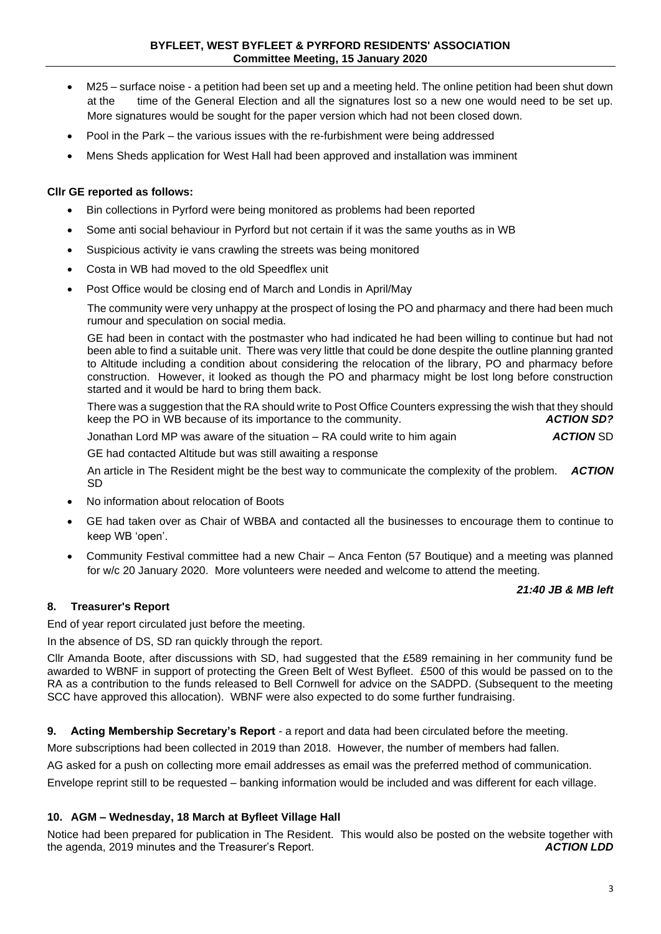- M25 surface noise a petition had been set up and a meeting held. The online petition had been shut down at the time of the General Election and all the signatures lost so a new one would need to be set up. More signatures would be sought for the paper version which had not been closed down.
- Pool in the Park the various issues with the re-furbishment were being addressed
- Mens Sheds application for West Hall had been approved and installation was imminent

#### **Cllr GE reported as follows:**

- Bin collections in Pyrford were being monitored as problems had been reported
- Some anti social behaviour in Pyrford but not certain if it was the same youths as in WB
- Suspicious activity ie vans crawling the streets was being monitored
- Costa in WB had moved to the old Speedflex unit
- Post Office would be closing end of March and Londis in April/May

The community were very unhappy at the prospect of losing the PO and pharmacy and there had been much rumour and speculation on social media.

GE had been in contact with the postmaster who had indicated he had been willing to continue but had not been able to find a suitable unit. There was very little that could be done despite the outline planning granted to Altitude including a condition about considering the relocation of the library, PO and pharmacy before construction. However, it looked as though the PO and pharmacy might be lost long before construction started and it would be hard to bring them back.

There was a suggestion that the RA should write to Post Office Counters expressing the wish that they should<br>ACTION SD?<br>ACTION SD? keep the PO in WB because of its importance to the community.

Jonathan Lord MP was aware of the situation – RA could write to him again *ACTION* SD

GE had contacted Altitude but was still awaiting a response

An article in The Resident might be the best way to communicate the complexity of the problem. *ACTION*  SD

- No information about relocation of Boots
- GE had taken over as Chair of WBBA and contacted all the businesses to encourage them to continue to keep WB 'open'.
- Community Festival committee had a new Chair Anca Fenton (57 Boutique) and a meeting was planned for w/c 20 January 2020. More volunteers were needed and welcome to attend the meeting.

#### *21:40 JB & MB left*

#### **8. Treasurer's Report**

End of year report circulated just before the meeting.

In the absence of DS, SD ran quickly through the report.

Cllr Amanda Boote, after discussions with SD, had suggested that the £589 remaining in her community fund be awarded to WBNF in support of protecting the Green Belt of West Byfleet. £500 of this would be passed on to the RA as a contribution to the funds released to Bell Cornwell for advice on the SADPD. (Subsequent to the meeting SCC have approved this allocation). WBNF were also expected to do some further fundraising.

**9. Acting Membership Secretary's Report** - a report and data had been circulated before the meeting.

More subscriptions had been collected in 2019 than 2018. However, the number of members had fallen.

AG asked for a push on collecting more email addresses as email was the preferred method of communication.

Envelope reprint still to be requested – banking information would be included and was different for each village.

#### **10. AGM – Wednesday, 18 March at Byfleet Village Hall**

Notice had been prepared for publication in The Resident. This would also be posted on the website together with the agenda. 2019 minutes and the Treasurer's Report. the agenda, 2019 minutes and the Treasurer's Report.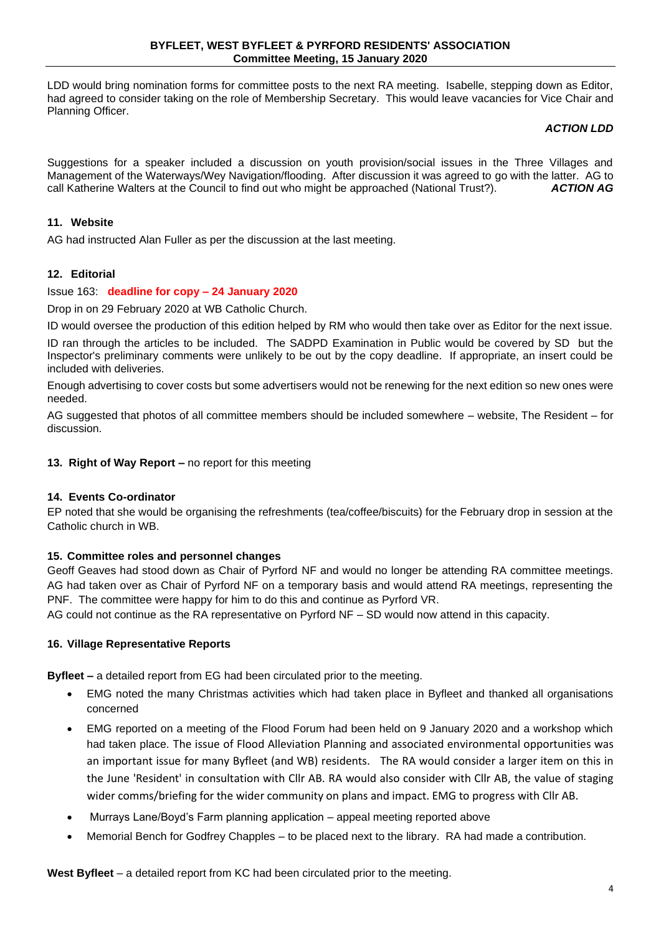LDD would bring nomination forms for committee posts to the next RA meeting. Isabelle, stepping down as Editor, had agreed to consider taking on the role of Membership Secretary. This would leave vacancies for Vice Chair and Planning Officer.

#### *ACTION LDD*

Suggestions for a speaker included a discussion on youth provision/social issues in the Three Villages and Management of the Waterways/Wey Navigation/flooding. After discussion it was agreed to go with the latter. AG to call Katherine Walters at the Council to find out who might be approached (National Trust?). **ACTION AG** call Katherine Walters at the Council to find out who might be approached (National Trust?).

#### **11. Website**

AG had instructed Alan Fuller as per the discussion at the last meeting.

#### **12. Editorial**

#### Issue 163: **deadline for copy – 24 January 2020**

Drop in on 29 February 2020 at WB Catholic Church.

ID would oversee the production of this edition helped by RM who would then take over as Editor for the next issue.

ID ran through the articles to be included. The SADPD Examination in Public would be covered by SD but the Inspector's preliminary comments were unlikely to be out by the copy deadline. If appropriate, an insert could be included with deliveries.

Enough advertising to cover costs but some advertisers would not be renewing for the next edition so new ones were needed.

AG suggested that photos of all committee members should be included somewhere – website, The Resident – for discussion.

#### **13. Right of Way Report –** no report for this meeting

#### **14. Events Co-ordinator**

EP noted that she would be organising the refreshments (tea/coffee/biscuits) for the February drop in session at the Catholic church in WB.

#### **15. Committee roles and personnel changes**

Geoff Geaves had stood down as Chair of Pyrford NF and would no longer be attending RA committee meetings. AG had taken over as Chair of Pyrford NF on a temporary basis and would attend RA meetings, representing the PNF. The committee were happy for him to do this and continue as Pyrford VR.

AG could not continue as the RA representative on Pyrford NF – SD would now attend in this capacity.

#### **16. Village Representative Reports**

**Byfleet –** a detailed report from EG had been circulated prior to the meeting.

- EMG noted the many Christmas activities which had taken place in Byfleet and thanked all organisations concerned
- EMG reported on a meeting of the Flood Forum had been held on 9 January 2020 and a workshop which had taken place. The issue of Flood Alleviation Planning and associated environmental opportunities was an important issue for many Byfleet (and WB) residents. The RA would consider a larger item on this in the June 'Resident' in consultation with Cllr AB. RA would also consider with Cllr AB, the value of staging wider comms/briefing for the wider community on plans and impact. EMG to progress with Cllr AB.
- Murrays Lane/Boyd's Farm planning application appeal meeting reported above
- Memorial Bench for Godfrey Chapples to be placed next to the library. RA had made a contribution.

**West Byfleet** – a detailed report from KC had been circulated prior to the meeting.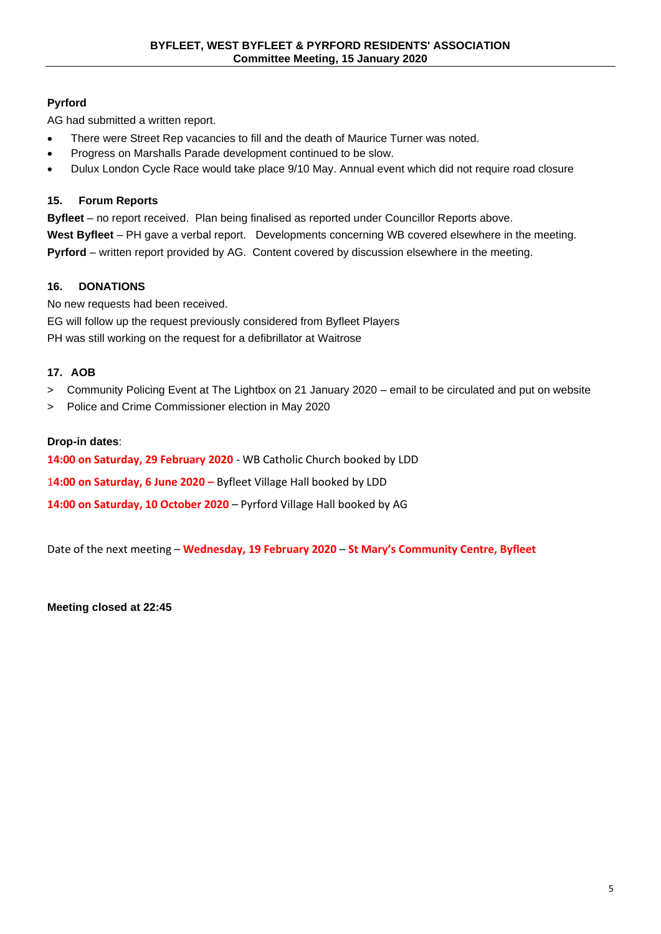## **Pyrford**

AG had submitted a written report.

- There were Street Rep vacancies to fill and the death of Maurice Turner was noted.
- Progress on Marshalls Parade development continued to be slow.
- Dulux London Cycle Race would take place 9/10 May. Annual event which did not require road closure

#### **15. Forum Reports**

**Byfleet** – no report received. Plan being finalised as reported under Councillor Reports above. **West Byfleet** – PH gave a verbal report. Developments concerning WB covered elsewhere in the meeting. **Pyrford** – written report provided by AG. Content covered by discussion elsewhere in the meeting.

#### **16. DONATIONS**

No new requests had been received.

EG will follow up the request previously considered from Byfleet Players

PH was still working on the request for a defibrillator at Waitrose

#### **17. AOB**

- > Community Policing Event at The Lightbox on 21 January 2020 email to be circulated and put on website
- > Police and Crime Commissioner election in May 2020

#### **Drop-in dates**:

**14:00 on Saturday, 29 February 2020** - WB Catholic Church booked by LDD

1**4:00 on Saturday, 6 June 2020 –** Byfleet Village Hall booked by LDD

**14:00 on Saturday, 10 October 2020** – Pyrford Village Hall booked by AG

Date of the next meeting – **Wednesday, 19 February 2020** – **St Mary's Community Centre, Byfleet**

**Meeting closed at 22:45**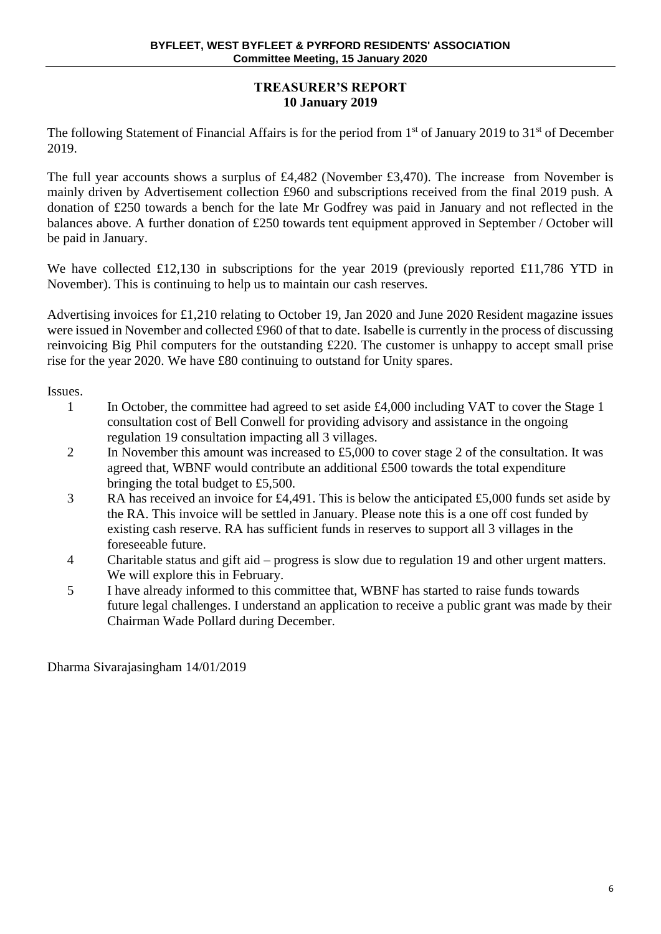## **TREASURER'S REPORT 10 January 2019**

The following Statement of Financial Affairs is for the period from 1<sup>st</sup> of January 2019 to 31<sup>st</sup> of December 2019.

The full year accounts shows a surplus of £4,482 (November £3,470). The increase from November is mainly driven by Advertisement collection £960 and subscriptions received from the final 2019 push. A donation of £250 towards a bench for the late Mr Godfrey was paid in January and not reflected in the balances above. A further donation of £250 towards tent equipment approved in September / October will be paid in January.

We have collected £12,130 in subscriptions for the year 2019 (previously reported £11,786 YTD in November). This is continuing to help us to maintain our cash reserves.

Advertising invoices for £1,210 relating to October 19, Jan 2020 and June 2020 Resident magazine issues were issued in November and collected £960 of that to date. Isabelle is currently in the process of discussing reinvoicing Big Phil computers for the outstanding £220. The customer is unhappy to accept small prise rise for the year 2020. We have £80 continuing to outstand for Unity spares.

Issues.

- 1 In October, the committee had agreed to set aside £4,000 including VAT to cover the Stage 1 consultation cost of Bell Conwell for providing advisory and assistance in the ongoing regulation 19 consultation impacting all 3 villages.
- 2 In November this amount was increased to £5,000 to cover stage 2 of the consultation. It was agreed that, WBNF would contribute an additional £500 towards the total expenditure bringing the total budget to £5,500.
- 3 RA has received an invoice for £4,491. This is below the anticipated £5,000 funds set aside by the RA. This invoice will be settled in January. Please note this is a one off cost funded by existing cash reserve. RA has sufficient funds in reserves to support all 3 villages in the foreseeable future.
- 4 Charitable status and gift aid progress is slow due to regulation 19 and other urgent matters. We will explore this in February.
- 5 I have already informed to this committee that, WBNF has started to raise funds towards future legal challenges. I understand an application to receive a public grant was made by their Chairman Wade Pollard during December.

Dharma Sivarajasingham 14/01/2019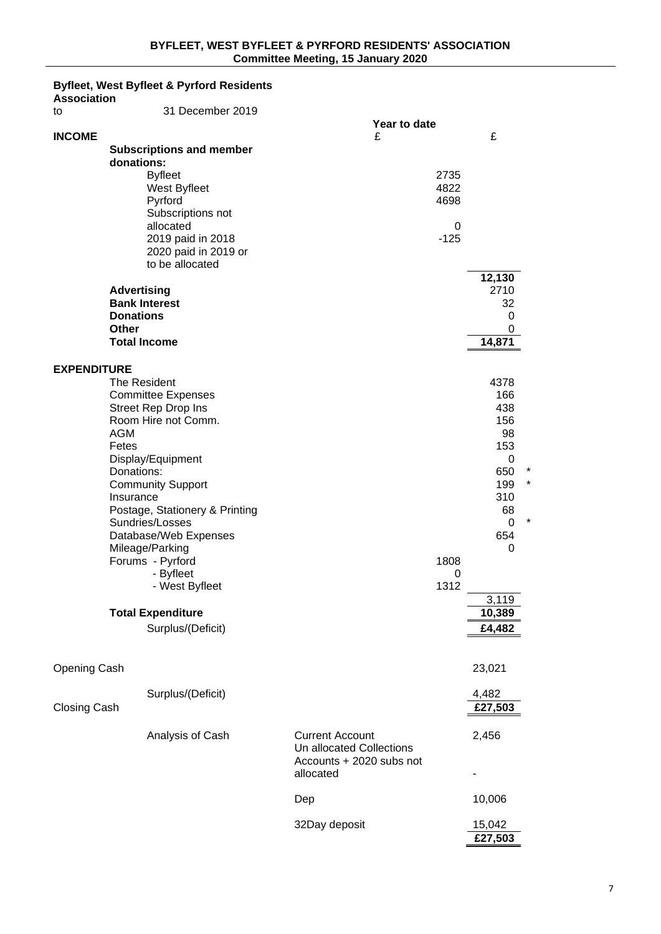## **Byfleet, West Byfleet & Pyrford Residents**

| <b>Association</b>  |                                                                                                                                                                                                                                                                                                                                                                                                        |                                                                                             |                      |                                                                                                                      |         |
|---------------------|--------------------------------------------------------------------------------------------------------------------------------------------------------------------------------------------------------------------------------------------------------------------------------------------------------------------------------------------------------------------------------------------------------|---------------------------------------------------------------------------------------------|----------------------|----------------------------------------------------------------------------------------------------------------------|---------|
| to                  | 31 December 2019                                                                                                                                                                                                                                                                                                                                                                                       |                                                                                             |                      |                                                                                                                      |         |
| <b>INCOME</b>       |                                                                                                                                                                                                                                                                                                                                                                                                        | Year to date<br>£                                                                           |                      | £                                                                                                                    |         |
|                     | <b>Subscriptions and member</b><br>donations:                                                                                                                                                                                                                                                                                                                                                          |                                                                                             |                      |                                                                                                                      |         |
|                     | <b>Byfleet</b><br>West Byfleet<br>Pyrford                                                                                                                                                                                                                                                                                                                                                              |                                                                                             | 2735<br>4822<br>4698 |                                                                                                                      |         |
|                     | Subscriptions not<br>allocated<br>2019 paid in 2018                                                                                                                                                                                                                                                                                                                                                    |                                                                                             | 0<br>$-125$          |                                                                                                                      |         |
|                     | 2020 paid in 2019 or<br>to be allocated                                                                                                                                                                                                                                                                                                                                                                |                                                                                             |                      |                                                                                                                      |         |
|                     | <b>Advertising</b><br><b>Bank Interest</b><br><b>Donations</b><br><b>Other</b>                                                                                                                                                                                                                                                                                                                         |                                                                                             |                      | 12,130<br>2710<br>32<br>0<br>0                                                                                       |         |
|                     | <b>Total Income</b>                                                                                                                                                                                                                                                                                                                                                                                    |                                                                                             |                      | 14,871                                                                                                               |         |
| <b>EXPENDITURE</b>  | The Resident<br><b>Committee Expenses</b><br><b>Street Rep Drop Ins</b><br>Room Hire not Comm.<br><b>AGM</b><br>Fetes<br>Display/Equipment<br>Donations:<br><b>Community Support</b><br>Insurance<br>Postage, Stationery & Printing<br>Sundries/Losses<br>Database/Web Expenses<br>Mileage/Parking<br>Forums - Pyrford<br>- Byfleet<br>- West Byfleet<br><b>Total Expenditure</b><br>Surplus/(Deficit) |                                                                                             | 1808<br>0<br>1312    | 4378<br>166<br>438<br>156<br>98<br>153<br>0<br>650<br>199<br>310<br>68<br>0<br>654<br>0<br>3,119<br>10,389<br>£4,482 | $\star$ |
|                     |                                                                                                                                                                                                                                                                                                                                                                                                        |                                                                                             |                      |                                                                                                                      |         |
| Opening Cash        |                                                                                                                                                                                                                                                                                                                                                                                                        |                                                                                             |                      | 23,021                                                                                                               |         |
| <b>Closing Cash</b> | Surplus/(Deficit)                                                                                                                                                                                                                                                                                                                                                                                      |                                                                                             |                      | 4,482<br>£27,503                                                                                                     |         |
|                     | Analysis of Cash                                                                                                                                                                                                                                                                                                                                                                                       | <b>Current Account</b><br>Un allocated Collections<br>Accounts + 2020 subs not<br>allocated |                      | 2,456                                                                                                                |         |
|                     |                                                                                                                                                                                                                                                                                                                                                                                                        | Dep                                                                                         |                      | 10,006                                                                                                               |         |
|                     |                                                                                                                                                                                                                                                                                                                                                                                                        | 32Day deposit                                                                               |                      | 15,042<br>£27,503                                                                                                    |         |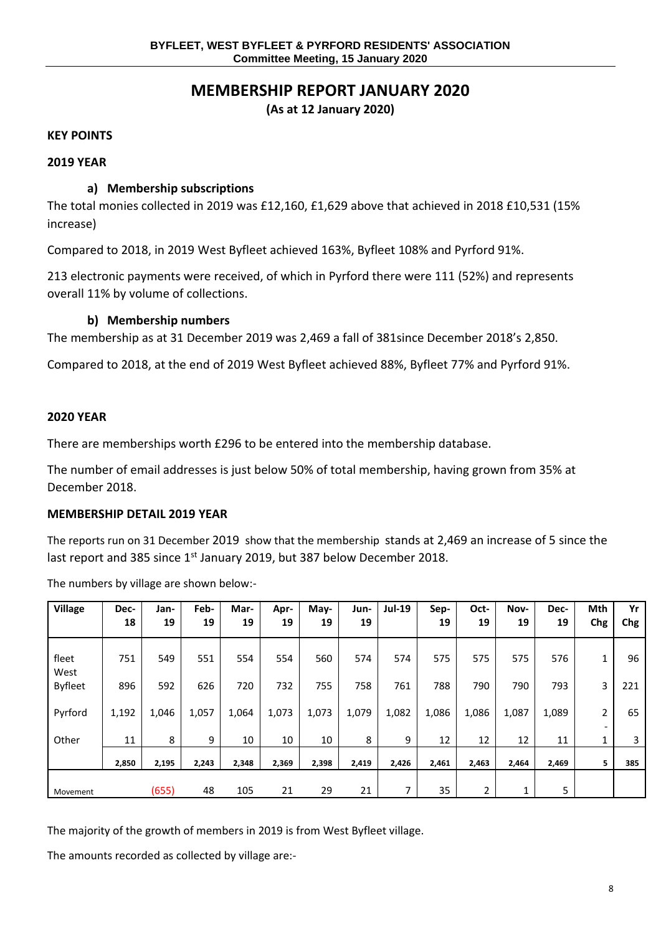## **MEMBERSHIP REPORT JANUARY 2020**

**(As at 12 January 2020)**

#### **KEY POINTS**

#### **2019 YEAR**

#### **a) Membership subscriptions**

The total monies collected in 2019 was £12,160, £1,629 above that achieved in 2018 £10,531 (15% increase)

Compared to 2018, in 2019 West Byfleet achieved 163%, Byfleet 108% and Pyrford 91%.

213 electronic payments were received, of which in Pyrford there were 111 (52%) and represents overall 11% by volume of collections.

#### **b) Membership numbers**

The membership as at 31 December 2019 was 2,469 a fall of 381since December 2018's 2,850.

Compared to 2018, at the end of 2019 West Byfleet achieved 88%, Byfleet 77% and Pyrford 91%.

#### **2020 YEAR**

There are memberships worth £296 to be entered into the membership database.

The number of email addresses is just below 50% of total membership, having grown from 35% at December 2018.

#### **MEMBERSHIP DETAIL 2019 YEAR**

The reports run on 31 December 2019 show that the membership stands at 2,469 an increase of 5 since the last report and 385 since 1<sup>st</sup> January 2019, but 387 below December 2018.

The numbers by village are shown below:-

| <b>Village</b>         | Dec-<br>18 | Jan-<br>19 | Feb-<br>19 | Mar-<br>19 | Apr-<br>19 | May-<br>19 | Jun-<br>19 | <b>Jul-19</b> | Sep-<br>19 | Oct-<br>19 | Nov-<br>19 | Dec-<br>19 | Mth<br>Chg | Yr<br>Chg |
|------------------------|------------|------------|------------|------------|------------|------------|------------|---------------|------------|------------|------------|------------|------------|-----------|
| fleet                  | 751        | 549        | 551        | 554        | 554        | 560        | 574        | 574           | 575        | 575        | 575        | 576        |            | 96        |
| West<br><b>Byfleet</b> | 896        | 592        | 626        | 720        | 732        | 755        | 758        | 761           | 788        | 790        | 790        | 793        | 3          | 221       |
| Pyrford                | 1,192      | 1,046      | 1,057      | 1,064      | 1,073      | 1,073      | 1,079      | 1,082         | 1,086      | 1,086      | 1,087      | 1,089      | 2          | 65        |
| Other                  | 11         | 8          | 9          | 10         | 10         | 10         | 8          | 9             | 12         | 12         | 12         | 11         | 1          | 3         |
|                        | 2,850      | 2,195      | 2,243      | 2,348      | 2,369      | 2,398      | 2,419      | 2,426         | 2,461      | 2,463      | 2,464      | 2,469      | 5.         | 385       |
| Movement               |            | (655)      | 48         | 105        | 21         | 29         | 21         | 7             | 35         | 2          | 1          | 5.         |            |           |

The majority of the growth of members in 2019 is from West Byfleet village.

The amounts recorded as collected by village are:-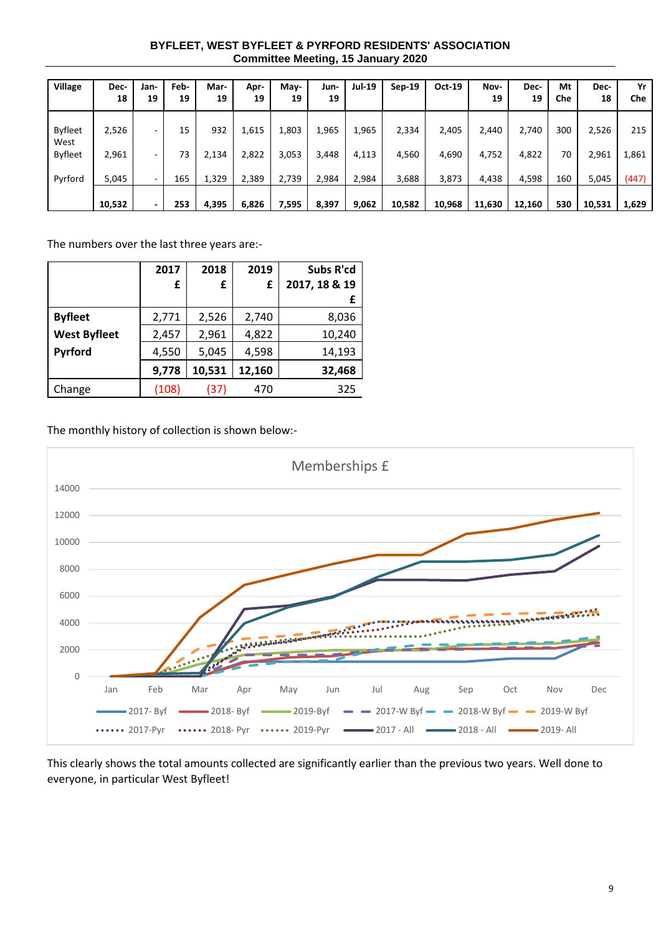#### **BYFLEET, WEST BYFLEET & PYRFORD RESIDENTS' ASSOCIATION Committee Meeting, 15 January 2020**

| <b>Village</b>         | Dec-<br>18 | Jan-<br>19               | Feb-<br>19 | Mar-<br>19 | Apr-<br>19 | May-<br>19 | Jun-<br>19 | <b>Jul-19</b> | $Sep-19$ | <b>Oct-19</b> | Nov-<br>19 | Dec-<br>19 | Mt<br>Che | Dec-<br>18 | Yr<br>Che |
|------------------------|------------|--------------------------|------------|------------|------------|------------|------------|---------------|----------|---------------|------------|------------|-----------|------------|-----------|
| <b>Byfleet</b><br>West | 2,526      | $\overline{\phantom{0}}$ | 15         | 932        | 1,615      | 1,803      | 1,965      | 1,965         | 2,334    | 2,405         | 2,440      | 2,740      | 300       | 2,526      | 215       |
| <b>Byfleet</b>         | 2,961      | $\overline{\phantom{a}}$ | 73         | 2,134      | 2,822      | 3,053      | 3,448      | 4,113         | 4,560    | 4,690         | 4,752      | 4,822      | 70        | 2,961      | 1,861     |
| Pyrford                | 5,045      | $\sim$                   | 165        | 1,329      | 2,389      | 2,739      | 2,984      | 2,984         | 3,688    | 3,873         | 4,438      | 4,598      | 160       | 5,045      | (447)     |
|                        | 10,532     | ٠                        | 253        | 4,395      | 6,826      | 7,595      | 8,397      | 9,062         | 10,582   | 10,968        | 11,630     | 12,160     | 530       | 10,531     | 1,629     |

The numbers over the last three years are:-

|                     | 2017  | 2018   | 2019   | Subs R'cd     |
|---------------------|-------|--------|--------|---------------|
|                     | £     | £      | £      | 2017, 18 & 19 |
|                     |       |        |        | £             |
| <b>Byfleet</b>      | 2,771 | 2,526  | 2,740  | 8,036         |
| <b>West Byfleet</b> | 2,457 | 2,961  | 4,822  | 10,240        |
| Pyrford             | 4,550 | 5,045  | 4,598  | 14,193        |
|                     | 9,778 | 10,531 | 12,160 | 32,468        |
| Change              | (108) | (37)   | 470    | 325           |

The monthly history of collection is shown below:-



This clearly shows the total amounts collected are significantly earlier than the previous two years. Well done to everyone, in particular West Byfleet!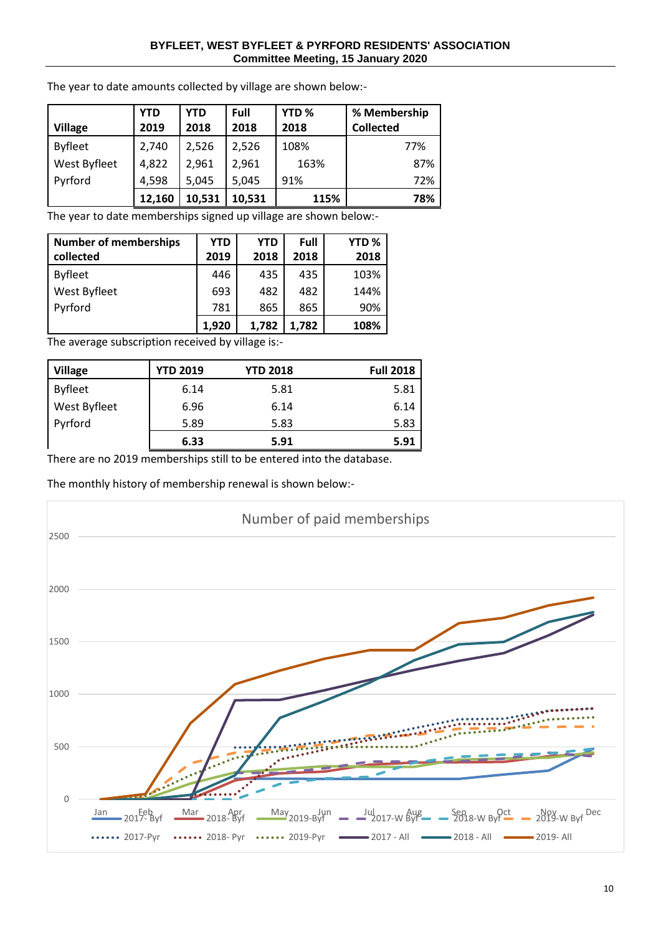#### **BYFLEET, WEST BYFLEET & PYRFORD RESIDENTS' ASSOCIATION Committee Meeting, 15 January 2020**

|                | <b>YTD</b> | <b>YTD</b> | Full   | YTD <sub>%</sub> | % Membership     |
|----------------|------------|------------|--------|------------------|------------------|
| <b>Village</b> | 2019       | 2018       | 2018   | 2018             | <b>Collected</b> |
| <b>Byfleet</b> | 2,740      | 2,526      | 2,526  | 108%             | 77%              |
| West Byfleet   | 4,822      | 2,961      | 2,961  | 163%             | 87%              |
| Pyrford        | 4,598      | 5,045      | 5,045  | 91%              | 72%              |
|                | 12,160     | 10,531     | 10,531 | 115%             | 78%              |

The year to date amounts collected by village are shown below:-

The year to date memberships signed up village are shown below:-

| <b>Number of memberships</b> | YTD   | <b>YTD</b> | Full  | YTD <sub>%</sub> |
|------------------------------|-------|------------|-------|------------------|
| collected                    | 2019  | 2018       | 2018  | 2018             |
| <b>Byfleet</b>               | 446   | 435        | 435   | 103%             |
| West Byfleet                 | 693   | 482        | 482   | 144%             |
| Pyrford                      | 781   | 865        | 865   | 90%              |
|                              | 1,920 | 1,782      | 1,782 | 108%             |

The average subscription received by village is:-

| <b>Village</b> | <b>YTD 2019</b> | <b>YTD 2018</b> | <b>Full 2018</b> |
|----------------|-----------------|-----------------|------------------|
| <b>Byfleet</b> | 6.14            | 5.81            | 5.81             |
| West Byfleet   | 6.96            | 6.14            | 6.14             |
| Pyrford        | 5.89            | 5.83            | 5.83             |
|                | 6.33            | 5.91            | 5.91             |

There are no 2019 memberships still to be entered into the database.

The monthly history of membership renewal is shown below:-

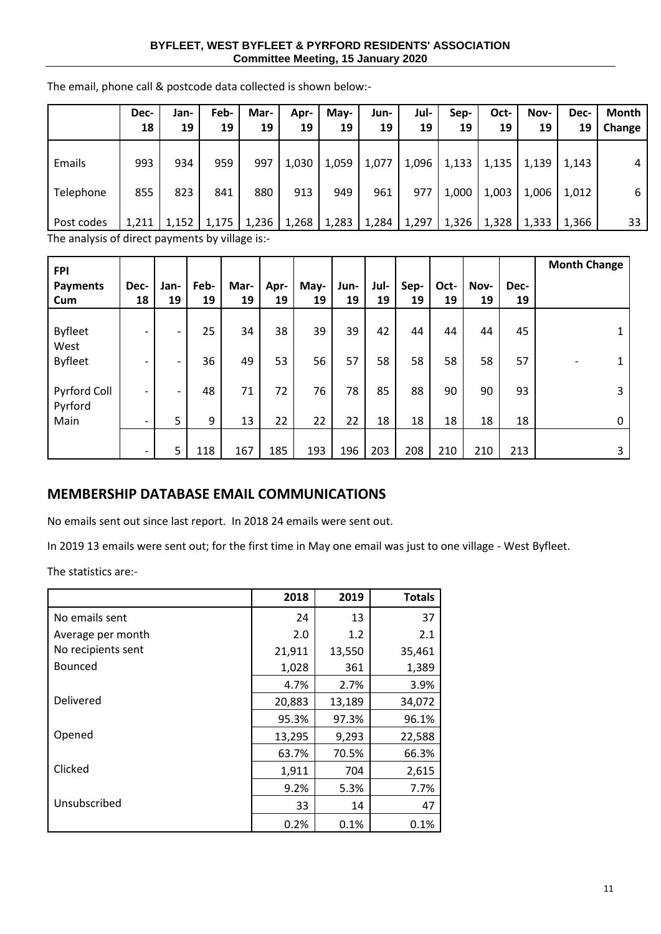#### **BYFLEET, WEST BYFLEET & PYRFORD RESIDENTS' ASSOCIATION Committee Meeting, 15 January 2020**

| Dec-  | Jan-  | Feb-  | Mar-  | Apr-                                           | May-  | Jun-  | Jul-  | Sep-  | Oct-  | Nov-  | Dec-  | Month  |
|-------|-------|-------|-------|------------------------------------------------|-------|-------|-------|-------|-------|-------|-------|--------|
| 18    | 19    | 19    | 19    | 19                                             | 19    | 19    | 19    | 19    | 19    | 19    | 19    | Change |
| 993   | 934   | 959   | 997   | 1,030                                          | 1,059 | 1,077 | 1,096 | 1,133 | 1,135 | 1,139 | 1,143 | 4      |
| 855   | 823   | 841   | 880   | 913                                            | 949   | 961   | 977   | 1,000 | 1,003 | 1,006 | 1,012 | 6      |
| 1,211 | 1,152 | 1,175 | 1,236 | 1,268                                          | 1,283 | 1,284 | 1,297 | 1,326 | 1,328 | 1,333 | 1,366 | 33     |
|       |       |       |       | -The analysis of direct nayments by village is |       |       |       |       |       |       |       |        |

The email, phone call & postcode data collected is shown below:-

The analysis of direct payments by village is: $\cdot$ 

| <b>FPI</b>             |                              |                          |            |            |            |            |            |            |            |            |            |            | <b>Month Change</b> |
|------------------------|------------------------------|--------------------------|------------|------------|------------|------------|------------|------------|------------|------------|------------|------------|---------------------|
| <b>Payments</b><br>Cum | Dec-<br>18                   | Jan-<br>19               | Feb-<br>19 | Mar-<br>19 | Apr-<br>19 | May-<br>19 | Jun-<br>19 | Jul-<br>19 | Sep-<br>19 | Oct-<br>19 | Nov-<br>19 | Dec-<br>19 |                     |
|                        |                              |                          |            |            |            |            |            |            |            |            |            |            |                     |
| <b>Byfleet</b>         | $\overline{\phantom{0}}$     | -                        | 25         | 34         | 38         | 39         | 39         | 42         | 44         | 44         | 44         | 45         |                     |
| West<br><b>Byfleet</b> | $\overline{\phantom{0}}$     | -                        | 36         | 49         | 53         | 56         | 57         | 58         | 58         | 58         | 58         | 57         |                     |
| Pyrford Coll           | $\overline{\phantom{0}}$     | $\overline{\phantom{a}}$ | 48         | 71         | 72         | 76         | 78         | 85         | 88         | 90         | 90         | 93         | 3                   |
| Pyrford<br>Main        | $\qquad \qquad \blacksquare$ | 5                        | 9          | 13         | 22         | 22         | 22         | 18         | 18         | 18         | 18         | 18         | 0                   |
|                        | $\overline{\phantom{0}}$     | 5                        | 118        | 167        | 185        | 193        | 196        | 203        | 208        | 210        | 210        | 213        | 3.                  |

## **MEMBERSHIP DATABASE EMAIL COMMUNICATIONS**

No emails sent out since last report. In 2018 24 emails were sent out.

In 2019 13 emails were sent out; for the first time in May one email was just to one village - West Byfleet.

The statistics are:-

|                    | 2018   | 2019   | <b>Totals</b> |
|--------------------|--------|--------|---------------|
| No emails sent     | 24     | 13     | 37            |
| Average per month  | 2.0    | 1.2    | 2.1           |
| No recipients sent | 21,911 | 13,550 | 35,461        |
| <b>Bounced</b>     | 1,028  | 361    | 1,389         |
|                    | 4.7%   | 2.7%   | 3.9%          |
| Delivered          | 20,883 | 13,189 | 34,072        |
|                    | 95.3%  | 97.3%  | 96.1%         |
| Opened             | 13,295 | 9,293  | 22,588        |
|                    | 63.7%  | 70.5%  | 66.3%         |
| Clicked            | 1,911  | 704    | 2,615         |
|                    | 9.2%   | 5.3%   | 7.7%          |
| Unsubscribed       | 33     | 14     | 47            |
|                    | 0.2%   | 0.1%   | 0.1%          |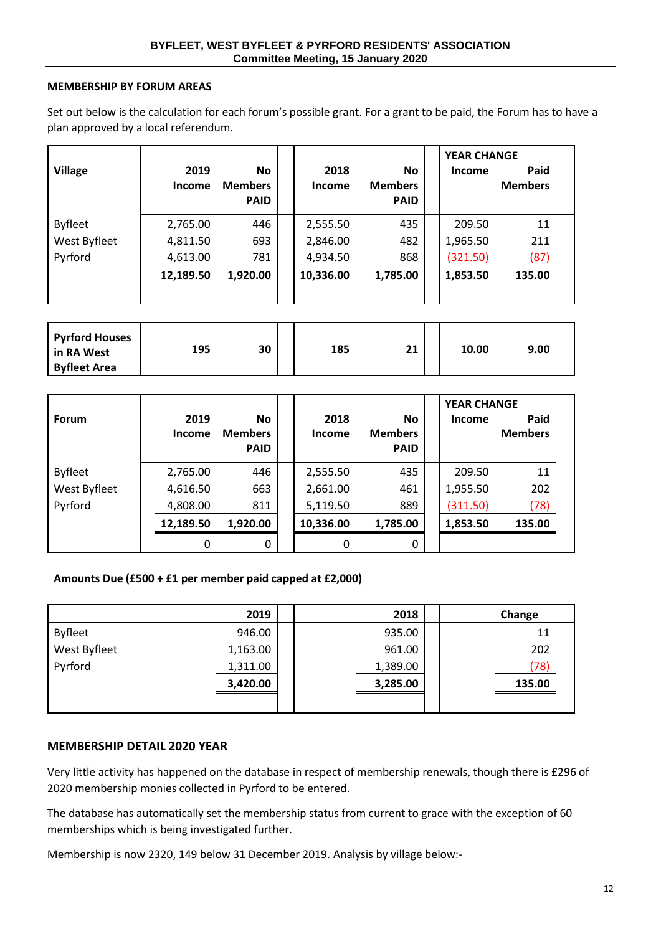#### **MEMBERSHIP BY FORUM AREAS**

Set out below is the calculation for each forum's possible grant. For a grant to be paid, the Forum has to have a plan approved by a local referendum.

| <b>Village</b> | 2019<br>Income | <b>No</b><br><b>Members</b><br><b>PAID</b> | 2018<br>Income | No.<br><b>Members</b><br><b>PAID</b> | <b>YEAR CHANGE</b><br>Income | Paid<br><b>Members</b> |  |
|----------------|----------------|--------------------------------------------|----------------|--------------------------------------|------------------------------|------------------------|--|
| <b>Byfleet</b> | 2,765.00       | 446                                        | 2,555.50       | 435                                  | 209.50                       | 11                     |  |
| West Byfleet   | 4,811.50       | 693                                        | 2,846.00       | 482                                  | 1,965.50                     | 211                    |  |
| Pyrford        | 4,613.00       | 781                                        | 4,934.50       | 868                                  | (321.50)                     | (87)                   |  |
|                | 12,189.50      | 1,920.00                                   | 10,336.00      | 1,785.00                             | 1,853.50                     | 135.00                 |  |
|                |                |                                            |                |                                      |                              |                        |  |

| <b>Pyrford Houses</b><br>  in RA West | 195 | 30 | 185 | 21 | 10.00 | 9.00 |  |
|---------------------------------------|-----|----|-----|----|-------|------|--|
| <b>Byfleet Area</b>                   |     |    |     |    |       |      |  |

| <b>Forum</b>   | 2019<br>Income | <b>No</b><br><b>Members</b><br><b>PAID</b> | 2018<br><b>Income</b> | <b>No</b><br><b>Members</b><br><b>PAID</b> | <b>YEAR CHANGE</b><br>Income | Paid<br><b>Members</b> |
|----------------|----------------|--------------------------------------------|-----------------------|--------------------------------------------|------------------------------|------------------------|
| <b>Byfleet</b> | 2,765.00       | 446                                        | 2,555.50              | 435                                        | 209.50                       | 11                     |
| West Byfleet   | 4,616.50       | 663                                        | 2,661.00              | 461                                        | 1,955.50                     | 202                    |
| Pyrford        | 4,808.00       | 811                                        | 5,119.50              | 889                                        | (311.50)                     | (78)                   |
|                | 12,189.50      | 1,920.00                                   | 10,336.00             | 1,785.00                                   | 1,853.50                     | 135.00                 |
|                | 0              | $\mathbf{0}$                               | 0                     | 0                                          |                              |                        |

#### **Amounts Due (£500 + £1 per member paid capped at £2,000)**

|                | 2019     | 2018     | Change |
|----------------|----------|----------|--------|
| <b>Byfleet</b> | 946.00   | 935.00   | 11     |
| West Byfleet   | 1,163.00 | 961.00   | 202    |
| Pyrford        | 1,311.00 | 1,389.00 | (78)   |
|                | 3,420.00 | 3,285.00 | 135.00 |
|                |          |          |        |

#### **MEMBERSHIP DETAIL 2020 YEAR**

Very little activity has happened on the database in respect of membership renewals, though there is £296 of 2020 membership monies collected in Pyrford to be entered.

The database has automatically set the membership status from current to grace with the exception of 60 memberships which is being investigated further.

Membership is now 2320, 149 below 31 December 2019. Analysis by village below:-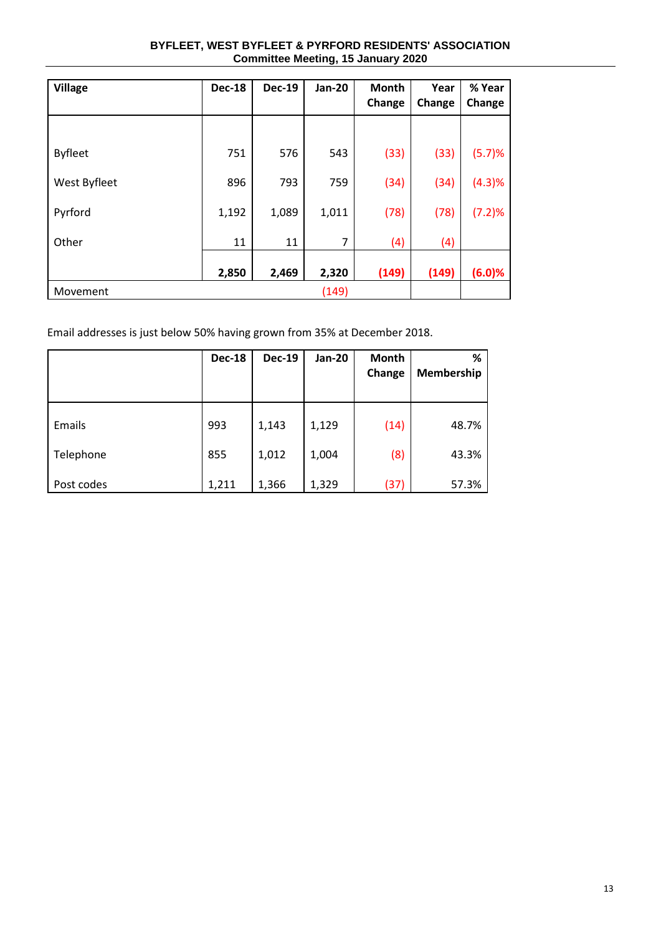| BYFLEET, WEST BYFLEET & PYRFORD RESIDENTS' ASSOCIATION |
|--------------------------------------------------------|
| <b>Committee Meeting, 15 January 2020</b>              |

| <b>Village</b> | <b>Dec-18</b> | <b>Dec-19</b> | <b>Jan-20</b> | <b>Month</b><br>Change | Year<br>Change | % Year<br>Change |
|----------------|---------------|---------------|---------------|------------------------|----------------|------------------|
|                |               |               |               |                        |                |                  |
| <b>Byfleet</b> | 751           | 576           | 543           | (33)                   | (33)           | (5.7)%           |
| West Byfleet   | 896           | 793           | 759           | (34)                   | (34)           | (4.3)%           |
| Pyrford        | 1,192         | 1,089         | 1,011         | (78)                   | (78)           | (7.2)%           |
| Other          | 11            | 11            | 7             | (4)                    | (4)            |                  |
|                | 2,850         | 2,469         | 2,320         | (149)                  | (149)          | (6.0)%           |
| Movement       |               |               | (149)         |                        |                |                  |

Email addresses is just below 50% having grown from 35% at December 2018.

|            | <b>Dec-18</b> | <b>Dec-19</b> | <b>Jan-20</b> | Month<br>Change | %<br>Membership |
|------------|---------------|---------------|---------------|-----------------|-----------------|
| Emails     | 993           | 1,143         | 1,129         | (14)            | 48.7%           |
| Telephone  | 855           | 1,012         | 1,004         | (8)             | 43.3%           |
| Post codes | 1,211         | 1,366         | 1,329         | (37)            | 57.3%           |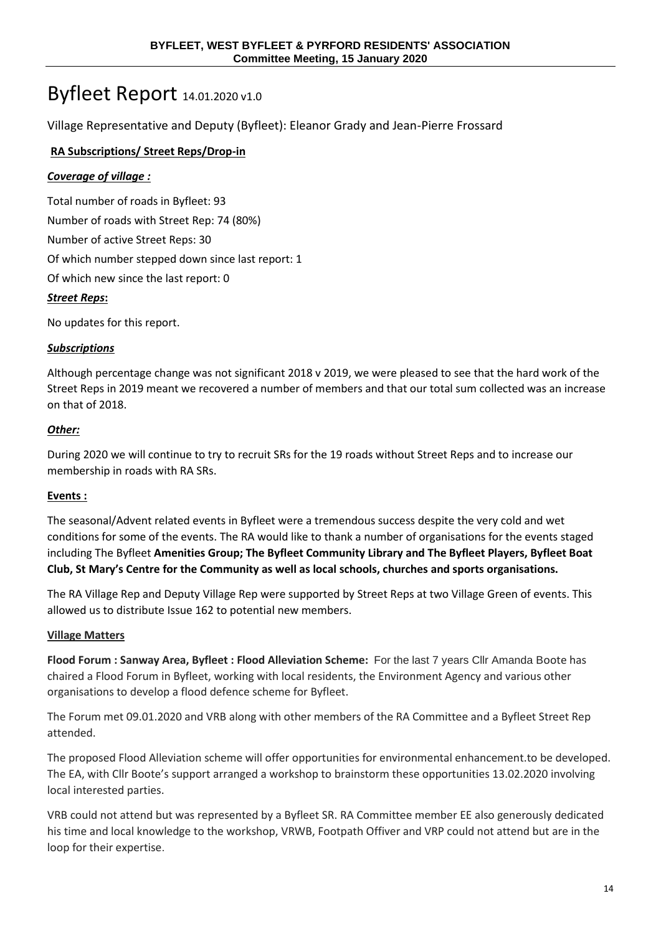# Byfleet Report 14.01.2020 v1.0

Village Representative and Deputy (Byfleet): Eleanor Grady and Jean-Pierre Frossard

## **RA Subscriptions/ Street Reps/Drop-in**

## *Coverage of village :*

Total number of roads in Byfleet: 93 Number of roads with Street Rep: 74 (80%) Number of active Street Reps: 30 Of which number stepped down since last report: 1 Of which new since the last report: 0 *Street Reps***:** 

No updates for this report.

#### *Subscriptions*

Although percentage change was not significant 2018 v 2019, we were pleased to see that the hard work of the Street Reps in 2019 meant we recovered a number of members and that our total sum collected was an increase on that of 2018.

#### *Other:*

During 2020 we will continue to try to recruit SRs for the 19 roads without Street Reps and to increase our membership in roads with RA SRs.

#### **Events :**

The seasonal/Advent related events in Byfleet were a tremendous success despite the very cold and wet conditions for some of the events. The RA would like to thank a number of organisations for the events staged including The Byfleet **Amenities Group; The Byfleet Community Library and The Byfleet Players, Byfleet Boat Club, St Mary's Centre for the Community as well as local schools, churches and sports organisations.**

The RA Village Rep and Deputy Village Rep were supported by Street Reps at two Village Green of events. This allowed us to distribute Issue 162 to potential new members.

#### **Village Matters**

**Flood Forum : Sanway Area, Byfleet : Flood Alleviation Scheme:** For the last 7 years Cllr Amanda Boote has chaired a Flood Forum in Byfleet, working with local residents, the Environment Agency and various other organisations to develop a flood defence scheme for Byfleet.

The Forum met 09.01.2020 and VRB along with other members of the RA Committee and a Byfleet Street Rep attended.

The proposed Flood Alleviation scheme will offer opportunities for environmental enhancement.to be developed. The EA, with Cllr Boote's support arranged a workshop to brainstorm these opportunities 13.02.2020 involving local interested parties.

VRB could not attend but was represented by a Byfleet SR. RA Committee member EE also generously dedicated his time and local knowledge to the workshop, VRWB, Footpath Offiver and VRP could not attend but are in the loop for their expertise.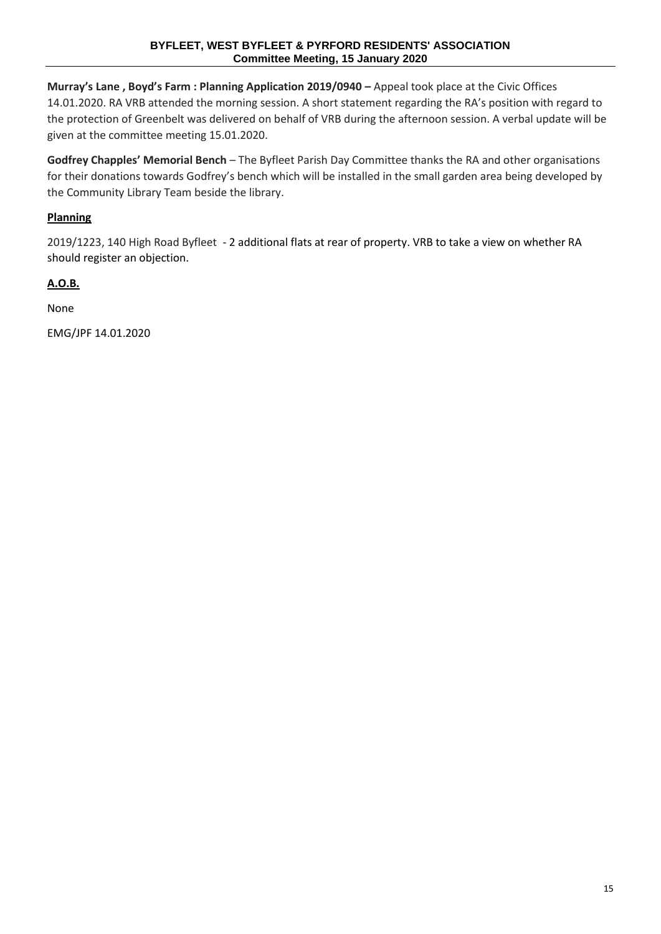**Murray's Lane , Boyd's Farm : Planning Application 2019/0940 –** Appeal took place at the Civic Offices 14.01.2020. RA VRB attended the morning session. A short statement regarding the RA's position with regard to the protection of Greenbelt was delivered on behalf of VRB during the afternoon session. A verbal update will be given at the committee meeting 15.01.2020.

**Godfrey Chapples' Memorial Bench** – The Byfleet Parish Day Committee thanks the RA and other organisations for their donations towards Godfrey's bench which will be installed in the small garden area being developed by the Community Library Team beside the library.

## **Planning**

2019/1223, 140 High Road Byfleet - 2 additional flats at rear of property. VRB to take a view on whether RA should register an objection.

## **A.O.B.**

None

EMG/JPF 14.01.2020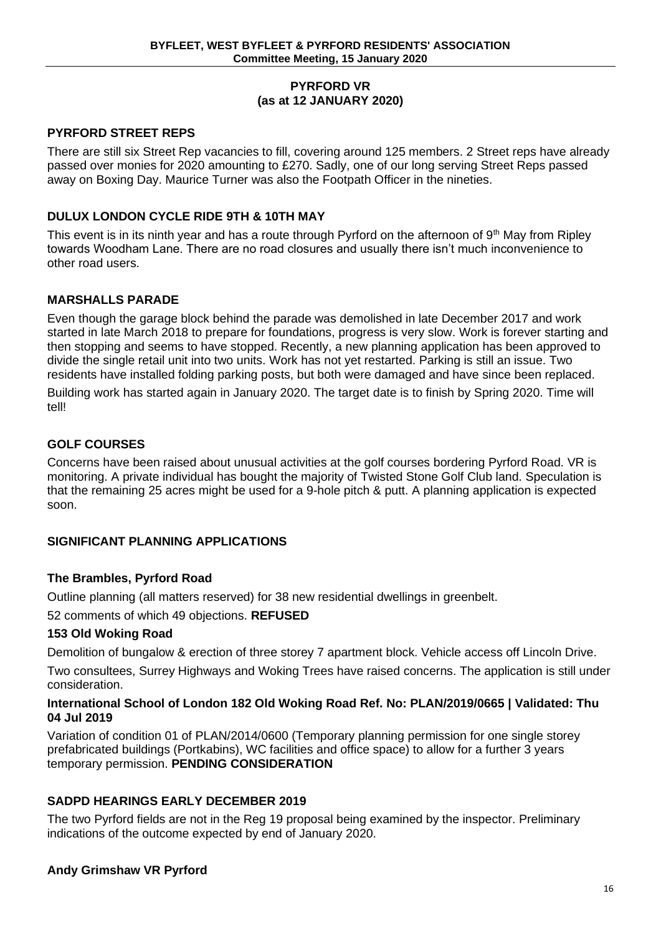## **PYRFORD VR (as at 12 JANUARY 2020)**

## **PYRFORD STREET REPS**

There are still six Street Rep vacancies to fill, covering around 125 members. 2 Street reps have already passed over monies for 2020 amounting to £270. Sadly, one of our long serving Street Reps passed away on Boxing Day. Maurice Turner was also the Footpath Officer in the nineties.

## **DULUX LONDON CYCLE RIDE 9TH & 10TH MAY**

This event is in its ninth year and has a route through Pyrford on the afternoon of 9<sup>th</sup> May from Ripley towards Woodham Lane. There are no road closures and usually there isn't much inconvenience to other road users.

## **MARSHALLS PARADE**

Even though the garage block behind the parade was demolished in late December 2017 and work started in late March 2018 to prepare for foundations, progress is very slow. Work is forever starting and then stopping and seems to have stopped. Recently, a new planning application has been approved to divide the single retail unit into two units. Work has not yet restarted. Parking is still an issue. Two residents have installed folding parking posts, but both were damaged and have since been replaced.

Building work has started again in January 2020. The target date is to finish by Spring 2020. Time will tell!

## **GOLF COURSES**

Concerns have been raised about unusual activities at the golf courses bordering Pyrford Road. VR is monitoring. A private individual has bought the majority of Twisted Stone Golf Club land. Speculation is that the remaining 25 acres might be used for a 9-hole pitch & putt. A planning application is expected soon.

## **SIGNIFICANT PLANNING APPLICATIONS**

#### **The Brambles, Pyrford Road**

Outline planning (all matters reserved) for 38 new residential dwellings in greenbelt.

52 comments of which 49 objections. **REFUSED**

#### **153 Old Woking Road**

Demolition of bungalow & erection of three storey 7 apartment block. Vehicle access off Lincoln Drive.

Two consultees, Surrey Highways and Woking Trees have raised concerns. The application is still under consideration.

#### **International School of London 182 Old Woking Road Ref. No: PLAN/2019/0665 | Validated: Thu 04 Jul 2019**

Variation of condition 01 of PLAN/2014/0600 (Temporary planning permission for one single storey prefabricated buildings (Portkabins), WC facilities and office space) to allow for a further 3 years temporary permission. **PENDING CONSIDERATION**

### **SADPD HEARINGS EARLY DECEMBER 2019**

The two Pyrford fields are not in the Reg 19 proposal being examined by the inspector. Preliminary indications of the outcome expected by end of January 2020.

#### **Andy Grimshaw VR Pyrford**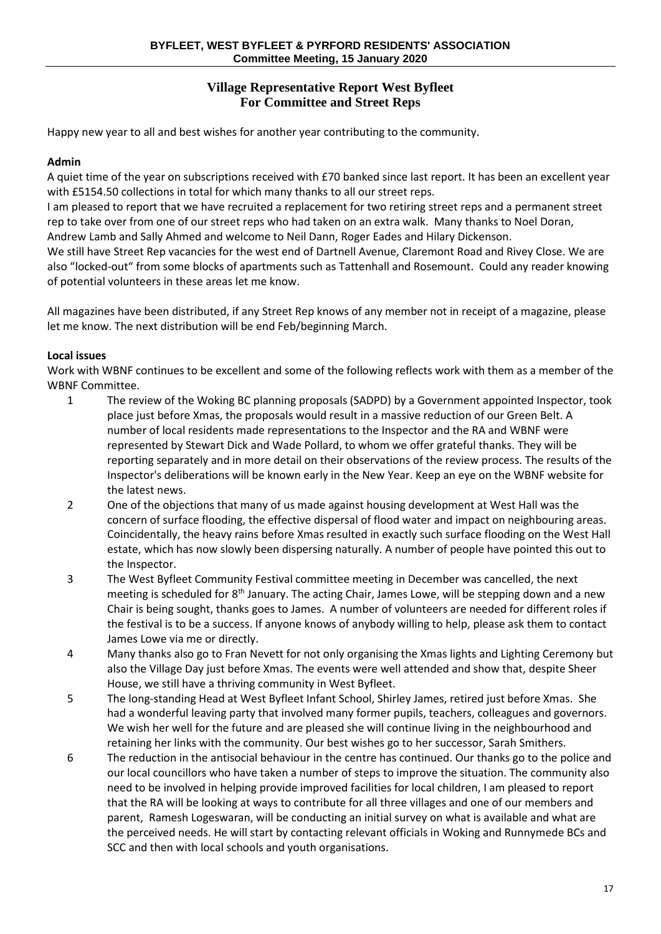## **Village Representative Report West Byfleet For Committee and Street Reps**

Happy new year to all and best wishes for another year contributing to the community.

#### **Admin**

A quiet time of the year on subscriptions received with £70 banked since last report. It has been an excellent year with £5154.50 collections in total for which many thanks to all our street reps.

I am pleased to report that we have recruited a replacement for two retiring street reps and a permanent street rep to take over from one of our street reps who had taken on an extra walk. Many thanks to Noel Doran, Andrew Lamb and Sally Ahmed and welcome to Neil Dann, Roger Eades and Hilary Dickenson.

We still have Street Rep vacancies for the west end of Dartnell Avenue, Claremont Road and Rivey Close. We are also "locked-out" from some blocks of apartments such as Tattenhall and Rosemount. Could any reader knowing of potential volunteers in these areas let me know.

All magazines have been distributed, if any Street Rep knows of any member not in receipt of a magazine, please let me know. The next distribution will be end Feb/beginning March.

#### **Local issues**

Work with WBNF continues to be excellent and some of the following reflects work with them as a member of the WBNF Committee.

- 1 The review of the Woking BC planning proposals (SADPD) by a Government appointed Inspector, took place just before Xmas, the proposals would result in a massive reduction of our Green Belt. A number of local residents made representations to the Inspector and the RA and WBNF were represented by Stewart Dick and Wade Pollard, to whom we offer grateful thanks. They will be reporting separately and in more detail on their observations of the review process. The results of the Inspector's deliberations will be known early in the New Year. Keep an eye on the WBNF website for the latest news.
- 2 One of the objections that many of us made against housing development at West Hall was the concern of surface flooding, the effective dispersal of flood water and impact on neighbouring areas. Coincidentally, the heavy rains before Xmas resulted in exactly such surface flooding on the West Hall estate, which has now slowly been dispersing naturally. A number of people have pointed this out to the Inspector.
- 3 The West Byfleet Community Festival committee meeting in December was cancelled, the next meeting is scheduled for  $8<sup>th</sup>$  January. The acting Chair, James Lowe, will be stepping down and a new Chair is being sought, thanks goes to James. A number of volunteers are needed for different roles if the festival is to be a success. If anyone knows of anybody willing to help, please ask them to contact James Lowe via me or directly.
- 4 Many thanks also go to Fran Nevett for not only organising the Xmas lights and Lighting Ceremony but also the Village Day just before Xmas. The events were well attended and show that, despite Sheer House, we still have a thriving community in West Byfleet.
- 5 The long-standing Head at West Byfleet Infant School, Shirley James, retired just before Xmas. She had a wonderful leaving party that involved many former pupils, teachers, colleagues and governors. We wish her well for the future and are pleased she will continue living in the neighbourhood and retaining her links with the community. Our best wishes go to her successor, Sarah Smithers.
- 6 The reduction in the antisocial behaviour in the centre has continued. Our thanks go to the police and our local councillors who have taken a number of steps to improve the situation. The community also need to be involved in helping provide improved facilities for local children, I am pleased to report that the RA will be looking at ways to contribute for all three villages and one of our members and parent, Ramesh Logeswaran, will be conducting an initial survey on what is available and what are the perceived needs. He will start by contacting relevant officials in Woking and Runnymede BCs and SCC and then with local schools and youth organisations.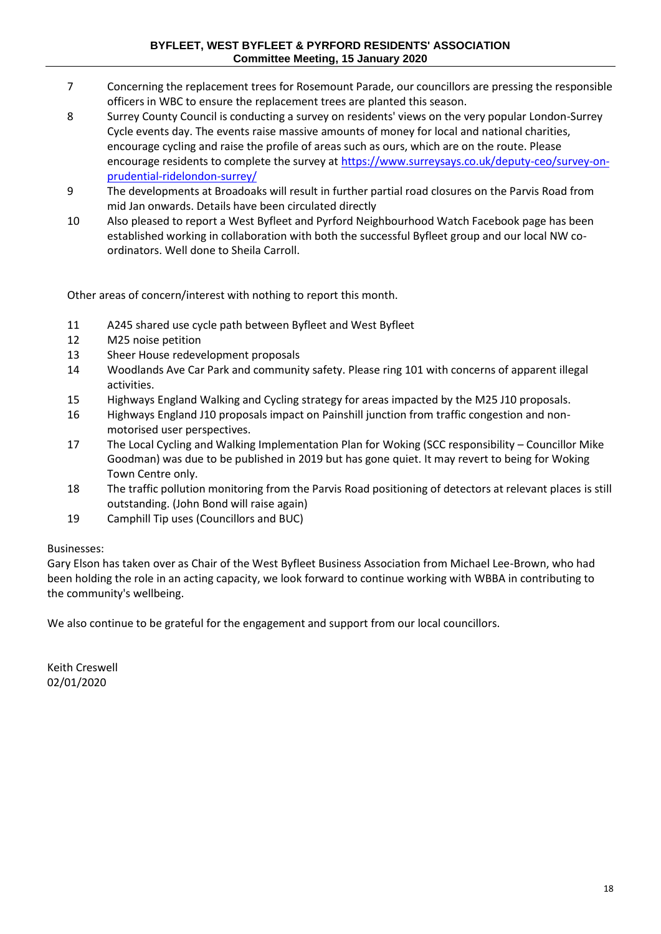- 7 Concerning the replacement trees for Rosemount Parade, our councillors are pressing the responsible officers in WBC to ensure the replacement trees are planted this season.
- 8 Surrey County Council is conducting a survey on residents' views on the very popular London-Surrey Cycle events day. The events raise massive amounts of money for local and national charities, encourage cycling and raise the profile of areas such as ours, which are on the route. Please encourage residents to complete the survey at [https://www.surreysays.co.uk/deputy-ceo/survey-on](https://www.surreysays.co.uk/deputy-ceo/survey-on-prudential-ridelondon-surrey/)[prudential-ridelondon-surrey/](https://www.surreysays.co.uk/deputy-ceo/survey-on-prudential-ridelondon-surrey/)
- 9 The developments at Broadoaks will result in further partial road closures on the Parvis Road from mid Jan onwards. Details have been circulated directly
- 10 Also pleased to report a West Byfleet and Pyrford Neighbourhood Watch Facebook page has been established working in collaboration with both the successful Byfleet group and our local NW coordinators. Well done to Sheila Carroll.

Other areas of concern/interest with nothing to report this month.

- 11 A245 shared use cycle path between Byfleet and West Byfleet
- 12 M25 noise petition
- 13 Sheer House redevelopment proposals
- 14 Woodlands Ave Car Park and community safety. Please ring 101 with concerns of apparent illegal activities.
- 15 Highways England Walking and Cycling strategy for areas impacted by the M25 J10 proposals.
- 16 Highways England J10 proposals impact on Painshill junction from traffic congestion and nonmotorised user perspectives.
- 17 The Local Cycling and Walking Implementation Plan for Woking (SCC responsibility Councillor Mike Goodman) was due to be published in 2019 but has gone quiet. It may revert to being for Woking Town Centre only.
- 18 The traffic pollution monitoring from the Parvis Road positioning of detectors at relevant places is still outstanding. (John Bond will raise again)
- 19 Camphill Tip uses (Councillors and BUC)

#### Businesses:

Gary Elson has taken over as Chair of the West Byfleet Business Association from Michael Lee-Brown, who had been holding the role in an acting capacity, we look forward to continue working with WBBA in contributing to the community's wellbeing.

We also continue to be grateful for the engagement and support from our local councillors.

Keith Creswell 02/01/2020